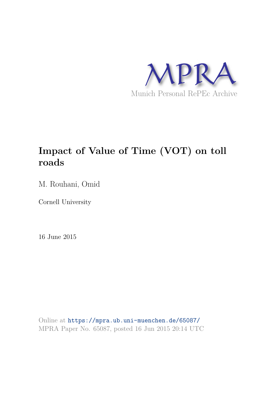

## **Impact of Value of Time (VOT) on toll roads**

M. Rouhani, Omid

Cornell University

16 June 2015

Online at https://mpra.ub.uni-muenchen.de/65087/ MPRA Paper No. 65087, posted 16 Jun 2015 20:14 UTC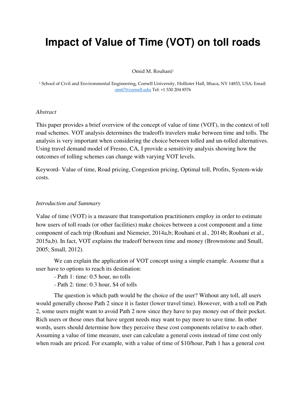# **Impact of Value of Time (VOT) on toll roads**

Omid M. Rouhani<sup>1</sup>

1 School of Civil and Environmental Engineering, Cornell University, Hollister Hall, Ithaca, NY 14853, USA; Email: [om67@cornell.edu T](mailto:om67@cornell.edu)el: +1 530 204 8576

#### *Abstract*

This paper provides a brief overview of the concept of value of time (VOT), in the context of toll road schemes. VOT analysis determines the tradeoffs travelers make between time and tolls. The analysis is very important when considering the choice between tolled and un-tolled alternatives. Using travel demand model of Fresno, CA, I provide a sensitivity analysis showing how the outcomes of tolling schemes can change with varying VOT levels.

Keyword- Value of time, Road pricing, Congestion pricing, Optimal toll, Profits, System-wide costs.

#### *Introduction and Summary*

Value of time (VOT) is a measure that transportation practitioners employ in order to estimate how users of toll roads (or other facilities) make choices between a cost component and a time component of each trip (Rouhani and Niemeier, 2014a,b; Rouhani et al., 2014b; Rouhani et al., 2015a,b). In fact, VOT explains the tradeoff between time and money (Brownstone and Small, 2005; Small, 2012).

We can explain the application of VOT concept using a simple example. Assume that a user have to options to reach its destination:

- Path 1: time: 0.5 hour, no tolls

- Path 2: time: 0.3 hour, \$4 of tolls

The question is which path would be the choice of the user? Without any toll, all users would generally choose Path 2 since it is faster (lower travel time). However, with a toll on Path 2, some users might want to avoid Path 2 now since they have to pay money out of their pocket. Rich users or those ones that have urgent needs may want to pay more to save time. In other words, users should determine how they perceive these cost components relative to each other. Assuming a value of time measure, user can calculate a general costs instead of time cost only when roads are priced. For example, with a value of time of \$10/hour, Path 1 has a general cost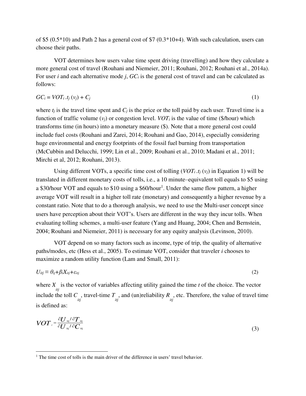of \$5 (0.5\*10) and Path 2 has a general cost of \$7 (0.3\*10+4). With such calculation, users can choose their paths.

VOT determines how users value time spent driving (travelling) and how they calculate a more general cost of travel (Rouhani and Niemeier, 2011; Rouhani, 2012; Rouhani et al., 2014a). For user *i* and each alternative mode *j*, *GCi* is the general cost of travel and can be calculated as follows:

$$
GC_i = VOT_i.t_j(v_j) + C_j \tag{1}
$$

where  $t_i$  is the travel time spent and  $C_i$  is the price or the toll paid by each user. Travel time is a function of traffic volume  $(v_i)$  or congestion level. *VOT<sub>i</sub>* is the value of time (\$/hour) which transforms time (in hours) into a monetary measure (\$). Note that a more general cost could include fuel costs (Rouhani and Zarei, 2014; Rouhani and Gao, 2014), especially considering huge environmental and energy footprints of the fossil fuel burning from transportation (McCubbin and Delucchi, 1999; Lin et al., 2009; Rouhani et al., 2010; Madani et al., 2011; Mirchi et al, 2012; Rouhani, 2013).

Using different VOTs, a specific time cost of tolling  $(VOT_i.t_i(v_i)$  in Equation 1) will be translated in different monetary costs of tolls, i.e., a 10 minute–equivalent toll equals to \$5 using a \$30/hour VOT and equals to \$10 using a \$60/hour<sup>1</sup>. Under the same flow pattern, a higher average VOT will result in a higher toll rate (monetary) and consequently a higher revenue by a constant ratio. Note that to do a thorough analysis, we need to use the Multi-user concept since users have perception about their VOT's. Users are different in the way they incur tolls. When evaluating tolling schemes, a multi-user feature (Yang and Huang, 2004; Chen and Bernstein, 2004; Rouhani and Niemeier, 2011) is necessary for any equity analysis (Levinson, 2010).

VOT depend on so many factors such as income, type of trip, the quality of alternative paths/modes, etc (Hess et al., 2005). To estimate VOT, consider that traveler *i* chooses to maximize a random utility function (Lam and Small, 2011):

$$
U_{itj} \equiv \theta_{ij} + \beta_i X_{itj} + \varepsilon_{itj} \tag{2}
$$

where  $X_i$  is the vector of variables affecting utility gained the time *t* of the choice. The vector include the toll  $C_i$ , travel-time  $T_i$ , and (un)reliability  $R_i$ , etc. Therefore, the value of travel time is defined as:

$$
VOTi = \frac{\partial U_{ij}/\partial T_{ij}}{\partial U_{ij}/\partial C_{ij}}
$$
\n(3)

 $\overline{a}$ 

<sup>&</sup>lt;sup>1</sup> The time cost of tolls is the main driver of the difference in users' travel behavior.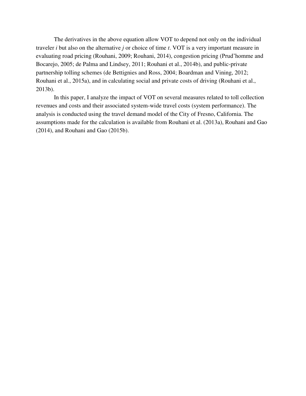The derivatives in the above equation allow VOT to depend not only on the individual traveler *i* but also on the alternative *j* or choice of time *t*. VOT is a very important measure in evaluating road pricing (Rouhani, 2009; Rouhani, 2014), congestion pricing (Prud'homme and Bocarejo, 2005; de Palma and Lindsey, 2011; Rouhani et al., 2014b), and public-private partnership tolling schemes (de Bettignies and Ross, 2004; Boardman and Vining, 2012; Rouhani et al., 2015a), and in calculating social and private costs of driving (Rouhani et al., 2013b).

In this paper, I analyze the impact of VOT on several measures related to toll collection revenues and costs and their associated system-wide travel costs (system performance). The analysis is conducted using the travel demand model of the City of Fresno, California. The assumptions made for the calculation is available from Rouhani et al. (2013a), Rouhani and Gao (2014), and Rouhani and Gao (2015b).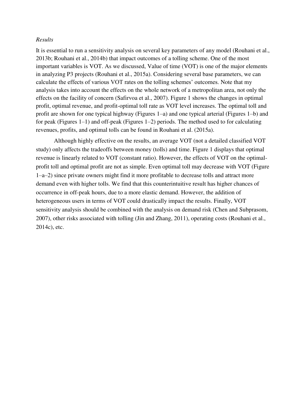#### *Results*

It is essential to run a sensitivity analysis on several key parameters of any model (Rouhani et al., 2013b; Rouhani et al., 2014b) that impact outcomes of a tolling scheme. One of the most important variables is VOT. As we discussed, Value of time (VOT) is one of the major elements in analyzing P3 projects (Rouhani et al., 2015a). Considering several base parameters, we can calculate the effects of various VOT rates on the tolling schemes' outcomes. Note that my analysis takes into account the effects on the whole network of a metropolitan area, not only the effects on the facility of concern (Safirvoa et al., 2007). Figure 1 shows the changes in optimal profit, optimal revenue, and profit-optimal toll rate as VOT level increases. The optimal toll and profit are shown for one typical highway (Figures 1–a) and one typical arterial (Figures 1–b) and for peak (Figures 1–1) and off-peak (Figures 1–2) periods. The method used to for calculating revenues, profits, and optimal tolls can be found in Rouhani et al. (2015a).

Although highly effective on the results, an average VOT (not a detailed classified VOT study) only affects the tradeoffs between money (tolls) and time. Figure 1 displays that optimal revenue is linearly related to VOT (constant ratio). However, the effects of VOT on the optimalprofit toll and optimal profit are not as simple. Even optimal toll may decrease with VOT (Figure 1–a–2) since private owners might find it more profitable to decrease tolls and attract more demand even with higher tolls. We find that this counterintuitive result has higher chances of occurrence in off-peak hours, due to a more elastic demand. However, the addition of heterogeneous users in terms of VOT could drastically impact the results. Finally, VOT sensitivity analysis should be combined with the analysis on demand risk (Chen and Subprasom, 2007), other risks associated with tolling (Jin and Zhang, 2011), operating costs (Rouhani et al., 2014c), etc.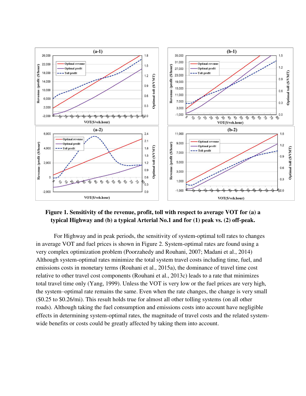

## **Figure 1. Sensitivity of the revenue, profit, toll with respect to average VOT for (a) a typical Highway and (b) a typical Arterial No.1 and for (1) peak vs. (2) off-peak.**

For Highway and in peak periods, the sensitivity of system-optimal toll rates to changes in average VOT and fuel prices is shown in Figure 2. System-optimal rates are found using a very complex optimization problem (Poorzahedy and Rouhani, 2007; Madani et al., 2014) Although system-optimal rates minimize the total system travel costs including time, fuel, and emissions costs in monetary terms (Rouhani et al., 2015a), the dominance of travel time cost relative to other travel cost components (Rouhani et al., 2013c) leads to a rate that minimizes total travel time only (Yang, 1999). Unless the VOT is very low or the fuel prices are very high, the system–optimal rate remains the same. Even when the rate changes, the change is very small (\$0.25 to \$0.26/mi). This result holds true for almost all other tolling systems (on all other roads). Although taking the fuel consumption and emissions costs into account have negligible effects in determining system-optimal rates, the magnitude of travel costs and the related systemwide benefits or costs could be greatly affected by taking them into account.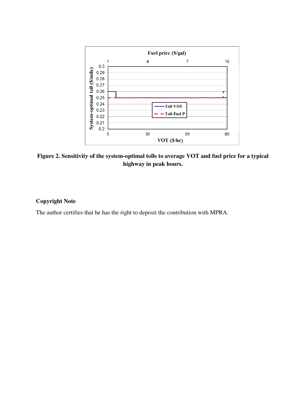

**Figure 2. Sensitivity of the system-optimal tolls to average VOT and fuel price for a typical highway in peak hours.** 

### **Copyright Note**

The author certifies that he has the right to deposit the contribution with MPRA.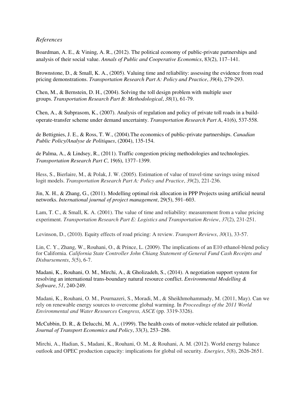### *References*

Boardman, A. E., & Vining, A. R., (2012). The political economy of public-private partnerships and analysis of their social value. *Annals of Public and Cooperative Economics*, 83(2), 117–141.

Brownstone, D., & Small, K. A., (2005). Valuing time and reliability: assessing the evidence from road pricing demonstrations. *Transportation Research Part A: Policy and Practice*, *39*(4), 279-293.

Chen, M., & Bernstein, D. H., (2004). Solving the toll design problem with multiple user groups. *Transportation Research Part B: Methodological*, *38*(1), 61-79.

Chen, A., & Subprasom, K., (2007). Analysis of regulation and policy of private toll roads in a buildoperate-transfer scheme under demand uncertainty. *Transportation Research Part A*, 41(6), 537-558.

de Bettignies, J. E., & Ross, T. W., (2004).The economics of public-private partnerships. *Canadian Public Policy/Analyse de Politiques*, (2004), 135-154.

de Palma, A., & Lindsey, R., (2011). Traffic congestion pricing methodologies and technologies. *Transportation Research Part C*, 19(6), 1377–1399.

Hess, S., Bierlaire, M., & Polak, J. W. (2005). Estimation of value of travel-time savings using mixed logit models. *Transportation Research Part A: Policy and Practice*, *39*(2), 221-236.

Jin, X. H., & Zhang, G., (2011). Modelling optimal risk allocation in PPP Projects using artificial neural networks. *International journal of project management*, 29(5), 591–603.

Lam, T. C., & Small, K. A. (2001). The value of time and reliability: measurement from a value pricing experiment. *Transportation Research Part E: Logistics and Transportation Review*, *37*(2), 231-251.

Levinson, D., (2010). Equity effects of road pricing: A review. *Transport Reviews*, *30*(1), 33-57.

Lin, C. Y., Zhang, W., Rouhani, O., & Prince, L. (2009). The implications of an E10 ethanol-blend policy for California. *California State Controller John Chiang Statement of General Fund Cash Receipts and Disbursements*, *5*(5), 6-7.

Madani, K., Rouhani, O. M., Mirchi, A., & Gholizadeh, S., (2014). A negotiation support system for resolving an international trans-boundary natural resource conflict. *Environmental Modelling & Software*, *51*, 240-249.

Madani, K., Rouhani, O. M., Pournazeri, S., Moradi, M., & Sheikhmohammady, M. (2011, May). Can we rely on renewable energy sources to overcome global warming. In *Proceedings of the 2011 World Environmental and Water Resources Congress, ASCE* (pp. 3319-3326).

McCubbin, D. R., & Delucchi, M. A., (1999). The health costs of motor-vehicle related air pollution. *Journal of Transport Economics and Policy*, 33(3), 253–286.

Mirchi, A., Hadian, S., Madani, K., Rouhani, O. M., & Rouhani, A. M. (2012). World energy balance outlook and OPEC production capacity: implications for global oil security. *Energies*, *5*(8), 2626-2651.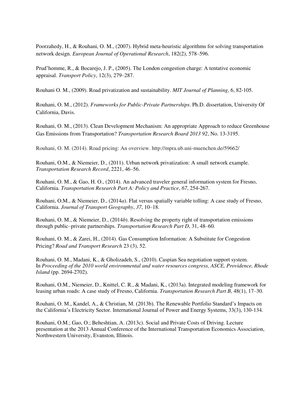Poorzahedy, H., & Rouhani, O. M., (2007). Hybrid meta-heuristic algorithms for solving transportation network design. *European Journal of Operational Research*, 182(2), 578–596.

Prud'homme, R., & Bocarejo, J. P., (2005). The London congestion charge: A tentative economic appraisal. *Transport Policy*, 12(3), 279–287.

Rouhani O. M., (2009). Road privatization and sustainability. *MIT Journal of Planning*, 6, 82-105.

Rouhani, O. M., (2012). *Frameworks for Public-Private Partnerships*. Ph.D. dissertation, University Of California, Davis.

Rouhani, O. M., (2013). [Clean Development Mechanism: An appropriate Approach to reduce Greenhouse](http://scholar.google.com/citations?view_op=view_citation&hl=en&user=ynqWtK8AAAAJ&citation_for_view=ynqWtK8AAAAJ:QIV2ME_5wuYC)  [Gas Emissions from Transportation?](http://scholar.google.com/citations?view_op=view_citation&hl=en&user=ynqWtK8AAAAJ&citation_for_view=ynqWtK8AAAAJ:QIV2ME_5wuYC) *Transportation Research Board 2013 92*, No. 13-3195.

Rouhani, O. M. (2014). Road pricing: An overview. http://mpra.ub.uni-muenchen.de/59662/

Rouhani, O.M., & Niemeier, D., (2011). Urban network privatization: A small network example. *Transportation Research Record*, 2221, 46–56.

Rouhani, O. M., & Gao, H. O., (2014). An advanced traveler general information system for Fresno, California. *Transportation Research Part A: Policy and Practice*, *67*, 254-267.

Rouhani, O.M., & Niemeier, D., (2014*a*). Flat versus spatially variable tolling: A case study of Fresno, California. *Journal of Transport Geography*, *37*, 10–18.

Rouhani, O. M., & Niemeier, D., (2014*b*). Resolving the property right of transportation emissions through public–private partnerships. *Transportation Research Part D*, 31, 48–60.

Rouhani, O. M., & Zarei, H., (2014). Gas Consumption Information: A Substitute for Congestion Pricing? *Road and Transport Research* 23 (3), 52.

Rouhani, O. M., Madani, K., & Gholizadeh, S., (2010). Caspian Sea negotiation support system. In *Proceeding of the 2010 world environmental and water resources congress, ASCE, Providence, Rhode Island* (pp. 2694-2702).

Rouhani, O.M., Niemeier, D., Knittel, C. R., & Madani, K., (2013a). Integrated modeling framework for leasing urban roads: A case study of Fresno, California. *Transportation Research Part B*, 48(1), 17–30.

Rouhani, O. M., Kandel, A., & Christian, M. (2013b). The Renewable Portfolio Standard's Impacts on the California's Electricity Sector. International Journal of Power and Energy Systems, 33(3), 130-134.

Rouhani, O.M.; Gao, O.; Beheshtian, A. (2013c). Social and Private Costs of Driving. Lecture presentation at the 2013 Annual Conference of the International Transportation Economics Association, Northwestern University, Evanston, Illinois.